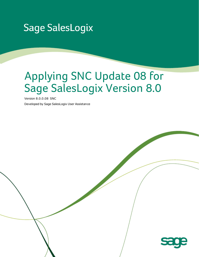## **Sage SalesLogix**

# Applying SNC Update 08 for Sage SalesLogix Version 8.0

Version 8.0.0.08 SNC

Developed by Sage SalesLogix User Assistance

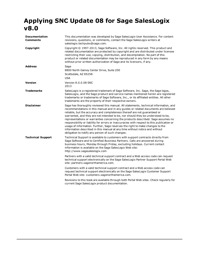### **Applying SNC Update 08 for Sage SalesLogix v8.0**

| <b>Documentation</b><br>Comments | This documentation was developed by Sage SalesLogix User Assistance. For content<br>revisions, questions, or comments, contact the Sage Sales Logix writers at<br>saleslogix.techpubs@sage.com.                                                                                                                                                                                                                                                                                                                                                                                                                                                                                                                                                   |  |
|----------------------------------|---------------------------------------------------------------------------------------------------------------------------------------------------------------------------------------------------------------------------------------------------------------------------------------------------------------------------------------------------------------------------------------------------------------------------------------------------------------------------------------------------------------------------------------------------------------------------------------------------------------------------------------------------------------------------------------------------------------------------------------------------|--|
| Copyright                        | Copyright © 1997-2013, Sage Software, Inc. All rights reserved. This product and<br>related documentation are protected by copyright and are distributed under licenses<br>restricting their use, copying, distribution, and decompilation. No part of this<br>product or related documentation may be reproduced in any form by any means<br>without prior written authorization of Sage and its licensors, if any.                                                                                                                                                                                                                                                                                                                              |  |
| <b>Address</b>                   | Sage<br>8800 North Gainey Center Drive, Suite 200<br>Scottsdale, AZ 85258<br><b>USA</b>                                                                                                                                                                                                                                                                                                                                                                                                                                                                                                                                                                                                                                                           |  |
| <b>Version</b>                   | Version 8.0.0.08 SNC<br>2013                                                                                                                                                                                                                                                                                                                                                                                                                                                                                                                                                                                                                                                                                                                      |  |
| <b>Trademarks</b>                | SalesLogix is a registered trademark of Sage Software, Inc. Sage, the Sage logos,<br>SalesLogix, and the Sage product and service names mentioned herein are registered<br>trademarks or trademarks of Sage Software, Inc., or its affiliated entities. All other<br>trademarks are the property of their respective owners.                                                                                                                                                                                                                                                                                                                                                                                                                      |  |
| <b>Disclaimer</b>                | Sage has thoroughly reviewed this manual. All statements, technical information, and<br>recommendations in this manual and in any guides or related documents are believed<br>reliable, but the accuracy and completeness thereof are not guaranteed or<br>warranted, and they are not intended to be, nor should they be understood to be,<br>representations or warranties concerning the products described. Sage assumes no<br>responsibility or liability for errors or inaccuracies with respect to this publication or<br>usage of information. Further, Sage reserves the right to make changes to the<br>information described in this manual at any time without notice and without<br>obligation to notify any person of such changes. |  |
| <b>Technical Support</b>         | Technical Support is available to customers with support contracts directly from<br>Sage Software and to Certified Business Partners. Calls are answered during<br>business hours, Monday through Friday, excluding holidays. Current contact<br>information is available on the Sage SalesLogix Web site:<br>http://www.sagesaleslogix.com                                                                                                                                                                                                                                                                                                                                                                                                       |  |
|                                  | Partners with a valid technical support contract and a Web access code can request<br>technical support electronically on the Sage SalesLogix Partner Support Portal Web<br>site: partners.sagenorthamerica.com.                                                                                                                                                                                                                                                                                                                                                                                                                                                                                                                                  |  |
|                                  | Customers with a valid technical support contract and a Web access code can<br>request technical support electronically on the Sage SalesLogix Customer Support<br>Portal Web site: customers.sagenorthamerica.com.                                                                                                                                                                                                                                                                                                                                                                                                                                                                                                                               |  |
|                                  | Revisions to this book are available through both Portal Web sites. Check regularly for<br>current Sage SalesLogix product documentation.                                                                                                                                                                                                                                                                                                                                                                                                                                                                                                                                                                                                         |  |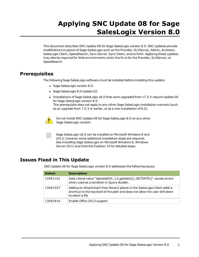## **Applying SNC Update 08 for Sage SalesLogix Version 8.0**

This document describes SNC Update 08 for Sage SalesLogix version 8.0. SNC Updates provide modifications to pieces of Sage SalesLogix such as the Provider, SLXServer, Admin, Architect, SalesLogix Client, SpeedSearch, Sync Server, Sync Client, and so forth. Applying these updates may also be required for Web environments when the fix is for the Provider, SLXServer, or SpeedSearch.

#### **Prerequisites**

The following Sage SalesLogix software must be installed before installing this update:

- Sage SalesLogix version 8.0.
- Sage SalesLogix 8.0 Update 02.
- Installations of Sage SalesLogix v8.0 that were upgraded from v7.5.4 require Update 00 for Sage SalesLogix version 8.0. This prerequisite does not apply to any other Sage SalesLogix installation scenario (such as an upgrade from 7.5.3 or earlier, or as a new installation of 8.0).



Do not install SNC Update 08 for Sage SalesLogix 8.0 on any other Sage SalesLogix version.

Sage SalesLogix v8.0 can be installed on Microsoft Windows 8 and 2012, however some additional installation steps are required. See *Installing Sage SalesLogix on Microsoft Windows 8, Windows Server 2012 and Internet Explorer 10* for detailed steps.

### **Issues Fixed in This Update**

SNC Update 08 for Sage SalesLogix version 8.0 addresses the following issues:

| <b>Defect</b> | <b>Description</b>                                                                                                                                                          |
|---------------|-----------------------------------------------------------------------------------------------------------------------------------------------------------------------------|
| 12091101      | Date Literal value "dateadd(hh,-12, getdate()), GETDATE()" causes errors<br>when used as a condition in Query Builder.                                                      |
| 13091557      | Adding an Attachment from Recent places in the SalesLogix Client adds a<br>shortcut to the top level of the path and does not allow the user drill down<br>to select a file |
| 13091816      | Enable Office 2013 support.                                                                                                                                                 |